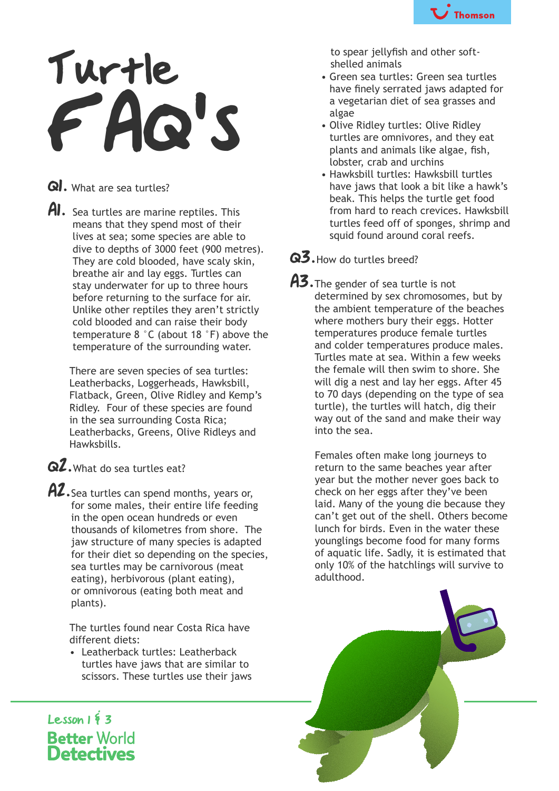

## Turtle FAQ's

Q. What are sea turtles?

AI. Sea turtles are marine reptiles. This means that they spend most of their lives at sea; some species are able to dive to depths of 3000 feet (900 metres). They are cold blooded, have scaly skin, breathe air and lay eggs. Turtles can stay underwater for up to three hours before returning to the surface for air. Unlike other reptiles they aren't strictly cold blooded and can raise their body temperature 8 °C (about 18 °F) above the temperature of the surrounding water.

 There are seven species of sea turtles: Leatherbacks, Loggerheads, Hawksbill, Flatback, Green, Olive Ridley and Kemp's Ridley. Four of these species are found in the sea surrounding Costa Rica; Leatherbacks, Greens, Olive Ridleys and Hawksbills.

- Q2. What do sea turtles eat?
- AZ. Sea turtles can spend months, years or, for some males, their entire life feeding in the open ocean hundreds or even thousands of kilometres from shore. The jaw structure of many species is adapted for their diet so depending on the species, sea turtles may be carnivorous (meat eating), herbivorous (plant eating), or omnivorous (eating both meat and plants).

 The turtles found near Costa Rica have different diets:

 • Leatherback turtles: Leatherback turtles have jaws that are similar to scissors. These turtles use their jaws

 to spear jellyfish and other softshelled animals

- Green sea turtles: Green sea turtles have finely serrated jaws adapted for a vegetarian diet of sea grasses and algae
- Olive Ridley turtles: Olive Ridley turtles are omnivores, and they eat plants and animals like algae, fish, lobster, crab and urchins
- Hawksbill turtles: Hawksbill turtles have jaws that look a bit like a hawk's beak. This helps the turtle get food from hard to reach crevices. Hawksbill turtles feed off of sponges, shrimp and squid found around coral reefs.

## Q3. How do turtles breed?

A3. The gender of sea turtle is not determined by sex chromosomes, but by the ambient temperature of the beaches where mothers bury their eggs. Hotter temperatures produce female turtles and colder temperatures produce males. Turtles mate at sea. Within a few weeks the female will then swim to shore. She will dig a nest and lay her eggs. After 45 to 70 days (depending on the type of sea turtle), the turtles will hatch, dig their way out of the sand and make their way into the sea.

> Females often make long journeys to return to the same beaches year after year but the mother never goes back to check on her eggs after they've been laid. Many of the young die because they can't get out of the shell. Others become lunch for birds. Even in the water these younglings become food for many forms of aquatic life. Sadly, it is estimated that only 10% of the hatchlings will survive to adulthood.



Lesson  $1\overline{5}$  3 **Better World Detectives**